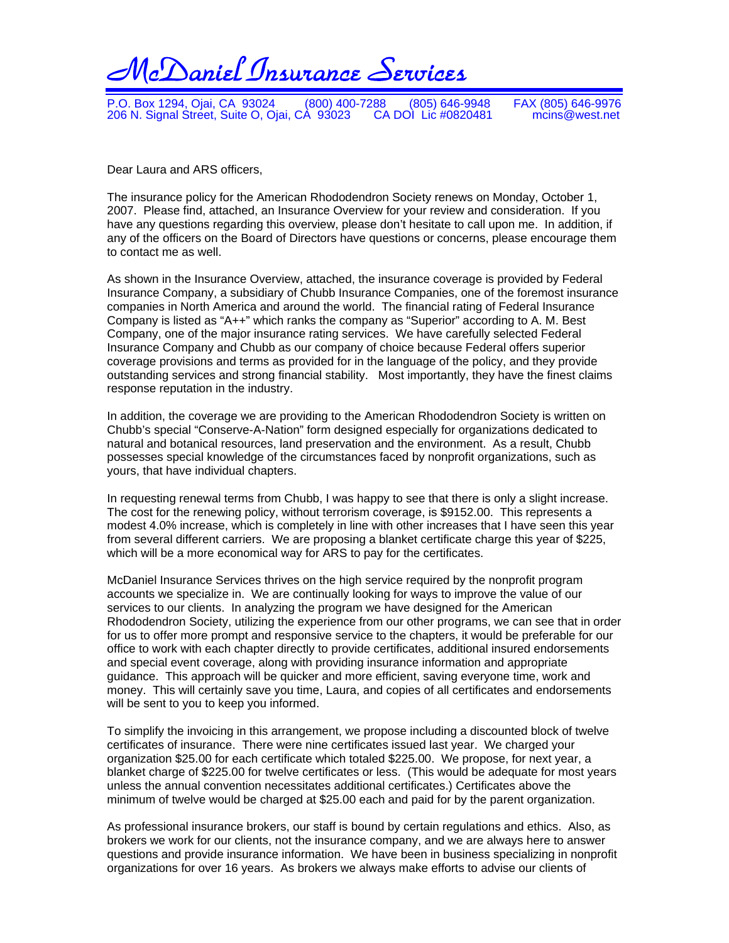

P.O. Box 1294, Ojai, CA 93024 (800) 400-7288 (805) 646-9948 FAX (805) 646-9976<br>206 N. Signal Street, Suite O, Ojai, CA 93023 CA DOI Lic #0820481 mcins@west.net 206 N. Signal Street, Suite O, Ojai, CA 93023 CA DOI Lic #0820481 mcins@west.net

Dear Laura and ARS officers,

The insurance policy for the American Rhododendron Society renews on Monday, October 1, 2007. Please find, attached, an Insurance Overview for your review and consideration. If you have any questions regarding this overview, please don't hesitate to call upon me. In addition, if any of the officers on the Board of Directors have questions or concerns, please encourage them to contact me as well.

As shown in the Insurance Overview, attached, the insurance coverage is provided by Federal Insurance Company, a subsidiary of Chubb Insurance Companies, one of the foremost insurance companies in North America and around the world. The financial rating of Federal Insurance Company is listed as "A++" which ranks the company as "Superior" according to A. M. Best Company, one of the major insurance rating services. We have carefully selected Federal Insurance Company and Chubb as our company of choice because Federal offers superior coverage provisions and terms as provided for in the language of the policy, and they provide outstanding services and strong financial stability. Most importantly, they have the finest claims response reputation in the industry.

In addition, the coverage we are providing to the American Rhododendron Society is written on Chubb's special "Conserve-A-Nation" form designed especially for organizations dedicated to natural and botanical resources, land preservation and the environment. As a result, Chubb possesses special knowledge of the circumstances faced by nonprofit organizations, such as yours, that have individual chapters.

In requesting renewal terms from Chubb, I was happy to see that there is only a slight increase. The cost for the renewing policy, without terrorism coverage, is \$9152.00. This represents a modest 4.0% increase, which is completely in line with other increases that I have seen this year from several different carriers. We are proposing a blanket certificate charge this year of \$225, which will be a more economical way for ARS to pay for the certificates.

McDaniel Insurance Services thrives on the high service required by the nonprofit program accounts we specialize in. We are continually looking for ways to improve the value of our services to our clients. In analyzing the program we have designed for the American Rhododendron Society, utilizing the experience from our other programs, we can see that in order for us to offer more prompt and responsive service to the chapters, it would be preferable for our office to work with each chapter directly to provide certificates, additional insured endorsements and special event coverage, along with providing insurance information and appropriate guidance. This approach will be quicker and more efficient, saving everyone time, work and money. This will certainly save you time, Laura, and copies of all certificates and endorsements will be sent to you to keep you informed.

To simplify the invoicing in this arrangement, we propose including a discounted block of twelve certificates of insurance. There were nine certificates issued last year. We charged your organization \$25.00 for each certificate which totaled \$225.00. We propose, for next year, a blanket charge of \$225.00 for twelve certificates or less. (This would be adequate for most years unless the annual convention necessitates additional certificates.) Certificates above the minimum of twelve would be charged at \$25.00 each and paid for by the parent organization.

As professional insurance brokers, our staff is bound by certain regulations and ethics. Also, as brokers we work for our clients, not the insurance company, and we are always here to answer questions and provide insurance information. We have been in business specializing in nonprofit organizations for over 16 years. As brokers we always make efforts to advise our clients of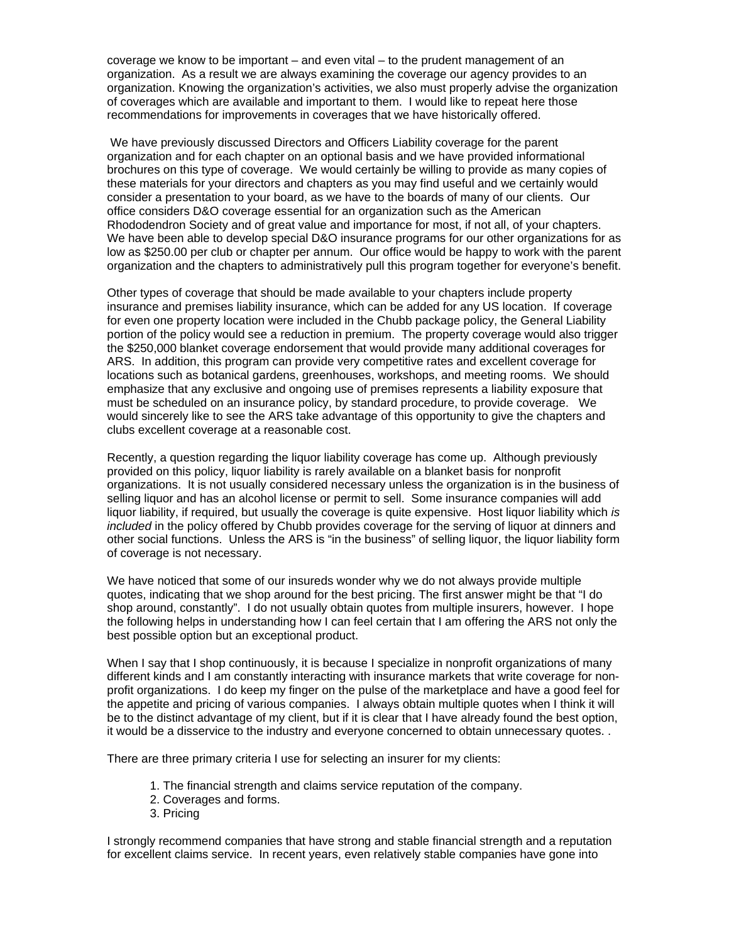coverage we know to be important – and even vital – to the prudent management of an organization. As a result we are always examining the coverage our agency provides to an organization. Knowing the organization's activities, we also must properly advise the organization of coverages which are available and important to them. I would like to repeat here those recommendations for improvements in coverages that we have historically offered.

 We have previously discussed Directors and Officers Liability coverage for the parent organization and for each chapter on an optional basis and we have provided informational brochures on this type of coverage. We would certainly be willing to provide as many copies of these materials for your directors and chapters as you may find useful and we certainly would consider a presentation to your board, as we have to the boards of many of our clients. Our office considers D&O coverage essential for an organization such as the American Rhododendron Society and of great value and importance for most, if not all, of your chapters. We have been able to develop special D&O insurance programs for our other organizations for as low as \$250.00 per club or chapter per annum. Our office would be happy to work with the parent organization and the chapters to administratively pull this program together for everyone's benefit.

Other types of coverage that should be made available to your chapters include property insurance and premises liability insurance, which can be added for any US location. If coverage for even one property location were included in the Chubb package policy, the General Liability portion of the policy would see a reduction in premium. The property coverage would also trigger the \$250,000 blanket coverage endorsement that would provide many additional coverages for ARS. In addition, this program can provide very competitive rates and excellent coverage for locations such as botanical gardens, greenhouses, workshops, and meeting rooms. We should emphasize that any exclusive and ongoing use of premises represents a liability exposure that must be scheduled on an insurance policy, by standard procedure, to provide coverage. We would sincerely like to see the ARS take advantage of this opportunity to give the chapters and clubs excellent coverage at a reasonable cost.

Recently, a question regarding the liquor liability coverage has come up. Although previously provided on this policy, liquor liability is rarely available on a blanket basis for nonprofit organizations. It is not usually considered necessary unless the organization is in the business of selling liquor and has an alcohol license or permit to sell. Some insurance companies will add liquor liability, if required, but usually the coverage is quite expensive. Host liquor liability which *is included* in the policy offered by Chubb provides coverage for the serving of liquor at dinners and other social functions. Unless the ARS is "in the business" of selling liquor, the liquor liability form of coverage is not necessary.

We have noticed that some of our insureds wonder why we do not always provide multiple quotes, indicating that we shop around for the best pricing. The first answer might be that "I do shop around, constantly". I do not usually obtain quotes from multiple insurers, however. I hope the following helps in understanding how I can feel certain that I am offering the ARS not only the best possible option but an exceptional product.

When I say that I shop continuously, it is because I specialize in nonprofit organizations of many different kinds and I am constantly interacting with insurance markets that write coverage for nonprofit organizations. I do keep my finger on the pulse of the marketplace and have a good feel for the appetite and pricing of various companies. I always obtain multiple quotes when I think it will be to the distinct advantage of my client, but if it is clear that I have already found the best option, it would be a disservice to the industry and everyone concerned to obtain unnecessary quotes. .

There are three primary criteria I use for selecting an insurer for my clients:

- 1. The financial strength and claims service reputation of the company.
- 2. Coverages and forms.
- 3. Pricing

I strongly recommend companies that have strong and stable financial strength and a reputation for excellent claims service. In recent years, even relatively stable companies have gone into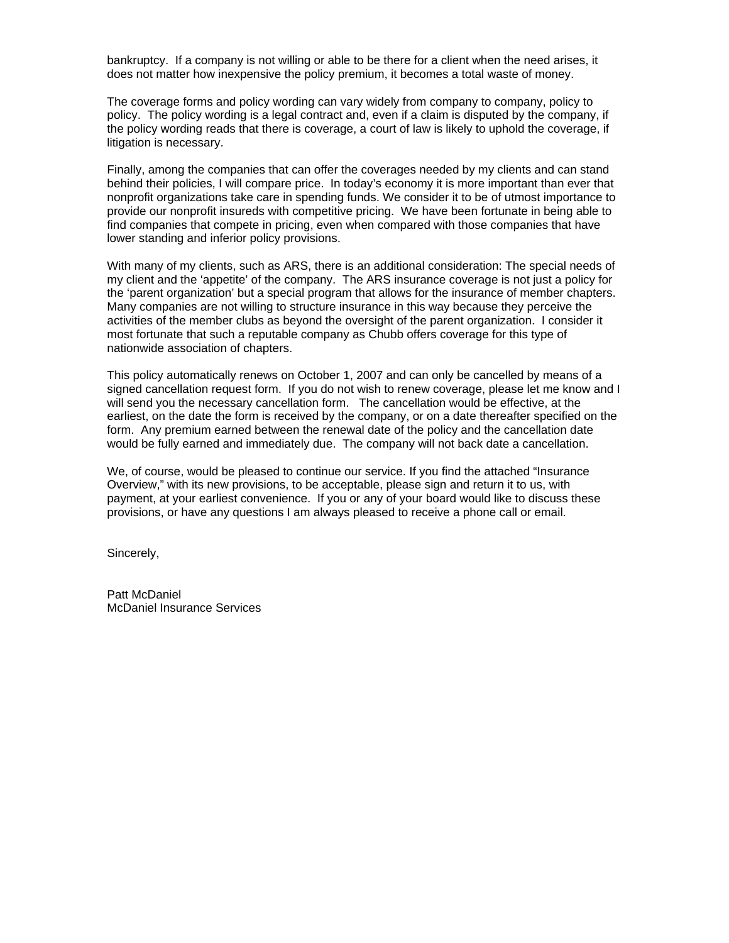bankruptcy. If a company is not willing or able to be there for a client when the need arises, it does not matter how inexpensive the policy premium, it becomes a total waste of money.

The coverage forms and policy wording can vary widely from company to company, policy to policy. The policy wording is a legal contract and, even if a claim is disputed by the company, if the policy wording reads that there is coverage, a court of law is likely to uphold the coverage, if litigation is necessary.

Finally, among the companies that can offer the coverages needed by my clients and can stand behind their policies, I will compare price. In today's economy it is more important than ever that nonprofit organizations take care in spending funds. We consider it to be of utmost importance to provide our nonprofit insureds with competitive pricing. We have been fortunate in being able to find companies that compete in pricing, even when compared with those companies that have lower standing and inferior policy provisions.

With many of my clients, such as ARS, there is an additional consideration: The special needs of my client and the 'appetite' of the company. The ARS insurance coverage is not just a policy for the 'parent organization' but a special program that allows for the insurance of member chapters. Many companies are not willing to structure insurance in this way because they perceive the activities of the member clubs as beyond the oversight of the parent organization. I consider it most fortunate that such a reputable company as Chubb offers coverage for this type of nationwide association of chapters.

This policy automatically renews on October 1, 2007 and can only be cancelled by means of a signed cancellation request form. If you do not wish to renew coverage, please let me know and I will send you the necessary cancellation form. The cancellation would be effective, at the earliest, on the date the form is received by the company, or on a date thereafter specified on the form. Any premium earned between the renewal date of the policy and the cancellation date would be fully earned and immediately due. The company will not back date a cancellation.

We, of course, would be pleased to continue our service. If you find the attached "Insurance Overview," with its new provisions, to be acceptable, please sign and return it to us, with payment, at your earliest convenience. If you or any of your board would like to discuss these provisions, or have any questions I am always pleased to receive a phone call or email.

Sincerely,

Patt McDaniel McDaniel Insurance Services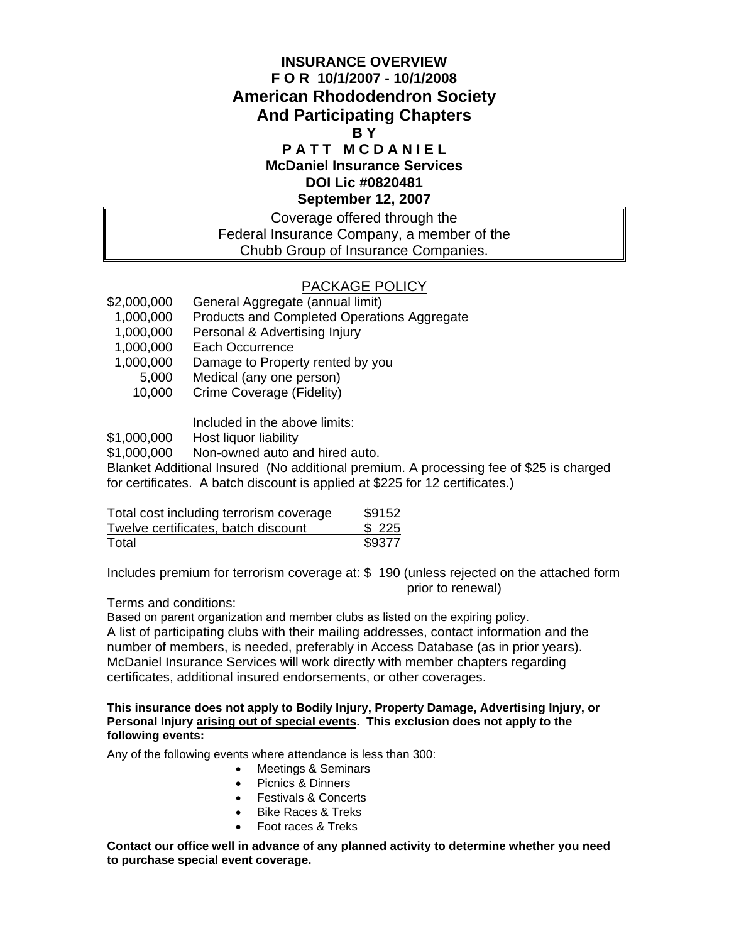#### **INSURANCE OVERVIEW F O R 10/1/2007 - 10/1/2008 American Rhododendron Society And Participating Chapters B Y PATT MCDANIEL**

### **McDaniel Insurance Services DOI Lic #0820481 September 12, 2007**

#### Coverage offered through the Federal Insurance Company, a member of the Chubb Group of Insurance Companies.

#### PACKAGE POLICY

- \$2,000,000 General Aggregate (annual limit)
- 1,000,000 Products and Completed Operations Aggregate
- 1,000,000 Personal & Advertising Injury
- 1,000,000 Each Occurrence
- 1,000,000 Damage to Property rented by you
	- 5,000 Medical (any one person)
		- 10,000 Crime Coverage (Fidelity)

Included in the above limits:

\$1,000,000 Host liquor liability

\$1,000,000 Non-owned auto and hired auto.

Blanket Additional Insured (No additional premium. A processing fee of \$25 is charged for certificates. A batch discount is applied at \$225 for 12 certificates.)

| Total cost including terrorism coverage | \$9152 |
|-----------------------------------------|--------|
| Twelve certificates, batch discount     | \$225  |
| Total                                   | \$9377 |

Includes premium for terrorism coverage at: \$ 190 (unless rejected on the attached form prior to renewal)

Terms and conditions:

Based on parent organization and member clubs as listed on the expiring policy. A list of participating clubs with their mailing addresses, contact information and the number of members, is needed, preferably in Access Database (as in prior years). McDaniel Insurance Services will work directly with member chapters regarding certificates, additional insured endorsements, or other coverages.

**This insurance does not apply to Bodily Injury, Property Damage, Advertising Injury, or Personal Injury arising out of special events. This exclusion does not apply to the following events:** 

Any of the following events where attendance is less than 300:

- Meetings & Seminars
- Picnics & Dinners
- Festivals & Concerts
- Bike Races & Treks
- Foot races & Treks

**Contact our office well in advance of any planned activity to determine whether you need to purchase special event coverage.**